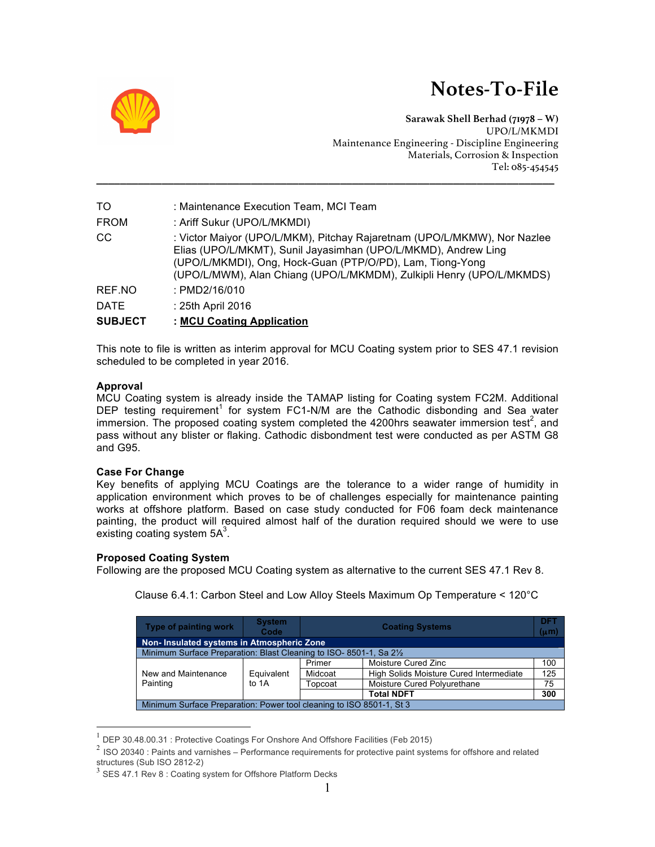# **Notes-To-File**



**Sarawak Shell Berhad (71978 – W)** UPO/L/MKMDI Maintenance Engineering - Discipline Engineering Materials, Corrosion & Inspection Tel: 085-454545

| TO.            | : Maintenance Execution Team, MCI Team                                                                                                                                                                                                                                          |
|----------------|---------------------------------------------------------------------------------------------------------------------------------------------------------------------------------------------------------------------------------------------------------------------------------|
| <b>FROM</b>    | : Ariff Sukur (UPO/L/MKMDI)                                                                                                                                                                                                                                                     |
| CC.            | : Victor Maiyor (UPO/L/MKM), Pitchay Rajaretnam (UPO/L/MKMW), Nor Nazlee<br>Elias (UPO/L/MKMT), Sunil Jayasimhan (UPO/L/MKMD), Andrew Ling<br>(UPO/L/MKMDI), Ong, Hock-Guan (PTP/O/PD), Lam, Tiong-Yong<br>(UPO/L/MWM), Alan Chiang (UPO/L/MKMDM), Zulkipli Henry (UPO/L/MKMDS) |
| REF.NO         | : PMD2/16/010                                                                                                                                                                                                                                                                   |
| <b>DATE</b>    | : 25th April 2016                                                                                                                                                                                                                                                               |
| <b>SUBJECT</b> | : MCU Coating Application                                                                                                                                                                                                                                                       |

**\_\_\_\_\_\_\_\_\_\_\_\_\_\_\_\_\_\_\_\_\_\_\_\_\_\_\_\_\_\_\_\_\_\_\_\_\_\_\_\_\_\_\_\_\_\_\_\_\_\_\_\_\_\_\_\_\_\_\_\_\_\_\_\_\_\_\_\_\_\_\_\_\_\_\_\_\_**

This note to file is written as interim approval for MCU Coating system prior to SES 47.1 revision scheduled to be completed in year 2016.

## **Approval**

MCU Coating system is already inside the TAMAP listing for Coating system FC2M. Additional DEP testing requirement<sup>1</sup> for system FC1-N/M are the Cathodic disbonding and Sea water immersion. The proposed coating system completed the 4200hrs seawater immersion test<sup>2</sup>, and pass without any blister or flaking. Cathodic disbondment test were conducted as per ASTM G8 and G95.

## **Case For Change**

Key benefits of applying MCU Coatings are the tolerance to a wider range of humidity in application environment which proves to be of challenges especially for maintenance painting works at offshore platform. Based on case study conducted for F06 foam deck maintenance painting, the product will required almost half of the duration required should we were to use existing coating system  $5A<sup>3</sup>$ .

## **Proposed Coating System**

Following are the proposed MCU Coating system as alternative to the current SES 47.1 Rev 8.

| Type of painting work                                                          | <b>System</b><br>Code | <b>Coating Systems</b> |                                         | <b>DFT</b><br>$(\mu m)$ |
|--------------------------------------------------------------------------------|-----------------------|------------------------|-----------------------------------------|-------------------------|
| Non-Insulated systems in Atmospheric Zone                                      |                       |                        |                                         |                         |
| Minimum Surface Preparation: Blast Cleaning to ISO-8501-1, Sa 2 <sup>1/2</sup> |                       |                        |                                         |                         |
|                                                                                |                       | Primer                 | Moisture Cured Zinc                     | 100                     |
| New and Maintenance                                                            | Equivalent            | Midcoat                | High Solids Moisture Cured Intermediate | 125                     |
| Painting                                                                       | to 1A                 | Topcoat                | Moisture Cured Polyurethane             | 75                      |
|                                                                                |                       |                        | <b>Total NDFT</b>                       | 300                     |
| Minimum Surface Preparation: Power tool cleaning to ISO 8501-1, St 3           |                       |                        |                                         |                         |

Clause 6.4.1: Carbon Steel and Low Alloy Steels Maximum Op Temperature < 120°C

 $1$  DEP 30.48.00.31 : Protective Coatings For Onshore And Offshore Facilities (Feb 2015)

<sup>&</sup>lt;sup>2</sup> ISO 20340 : Paints and varnishes – Performance requirements for protective paint systems for offshore and related structures (Sub ISO 2812-2)<br> $3$  SES 47.1 Rev 8 : Coating system for Offshore Platform Decks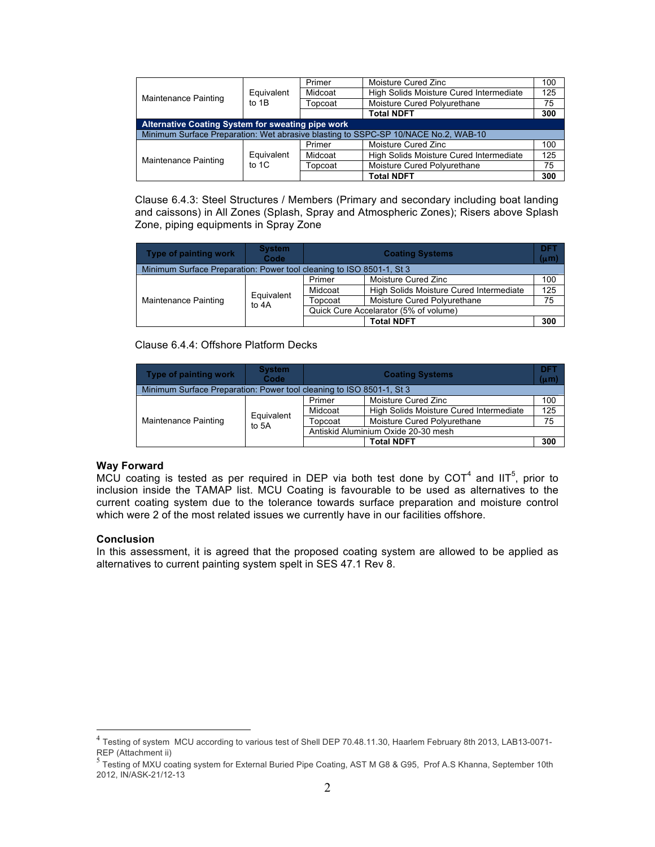|                                                                                    | Equivalent<br>to 1B | Primer  | Moisture Cured Zinc                     | 100 |
|------------------------------------------------------------------------------------|---------------------|---------|-----------------------------------------|-----|
| Maintenance Painting                                                               |                     | Midcoat | High Solids Moisture Cured Intermediate | 125 |
|                                                                                    |                     | Topcoat | Moisture Cured Polyurethane             | 75  |
|                                                                                    |                     |         | <b>Total NDFT</b>                       | 300 |
| Alternative Coating System for sweating pipe work                                  |                     |         |                                         |     |
| Minimum Surface Preparation: Wet abrasive blasting to SSPC-SP 10/NACE No.2, WAB-10 |                     |         |                                         |     |
|                                                                                    |                     | Primer  | Moisture Cured Zinc                     | 100 |
| Maintenance Painting                                                               | Equivalent          | Midcoat | High Solids Moisture Cured Intermediate | 125 |
|                                                                                    | to $1C$             | Topcoat | Moisture Cured Polyurethane             | 75  |
|                                                                                    |                     |         | <b>Total NDFT</b>                       | 300 |

Clause 6.4.3: Steel Structures / Members (Primary and secondary including boat landing and caissons) in All Zones (Splash, Spray and Atmospheric Zones); Risers above Splash Zone, piping equipments in Spray Zone

| Type of painting work | <b>System</b><br>Code                                                | <b>Coating Systems</b>                |                                         | <b>DFT</b><br>$(\mu m)$ |  |
|-----------------------|----------------------------------------------------------------------|---------------------------------------|-----------------------------------------|-------------------------|--|
|                       | Minimum Surface Preparation: Power tool cleaning to ISO 8501-1, St 3 |                                       |                                         |                         |  |
|                       | Equivalent<br>to 4A                                                  | Primer                                | Moisture Cured Zinc                     | 100                     |  |
|                       |                                                                      | Midcoat                               | High Solids Moisture Cured Intermediate | 125                     |  |
| Maintenance Painting  |                                                                      | Topcoat                               | Moisture Cured Polyurethane             | 75                      |  |
|                       |                                                                      | Quick Cure Accelarator (5% of volume) |                                         |                         |  |
|                       |                                                                      |                                       | <b>Total NDFT</b>                       | 300                     |  |

## Clause 6.4.4: Offshore Platform Decks

| Type of painting work | <b>System</b><br>Code                                                | <b>Coating Systems</b>              |                                         | <b>DFT</b><br>$(\mu m)$ |
|-----------------------|----------------------------------------------------------------------|-------------------------------------|-----------------------------------------|-------------------------|
|                       | Minimum Surface Preparation: Power tool cleaning to ISO 8501-1, St 3 |                                     |                                         |                         |
|                       | Equivalent<br>to 5A                                                  | Primer                              | Moisture Cured Zinc                     | 100                     |
|                       |                                                                      | Midcoat                             | High Solids Moisture Cured Intermediate | 125                     |
| Maintenance Painting  |                                                                      | Topcoat                             | Moisture Cured Polyurethane             | 75                      |
|                       |                                                                      | Antiskid Aluminium Oxide 20-30 mesh |                                         |                         |
|                       |                                                                      |                                     | <b>Total NDFT</b>                       | 300                     |

## **Way Forward**

MCU coating is tested as per required in DEP via both test done by COT<sup>4</sup> and IIT<sup>5</sup>, prior to inclusion inside the TAMAP list. MCU Coating is favourable to be used as alternatives to the current coating system due to the tolerance towards surface preparation and moisture control which were 2 of the most related issues we currently have in our facilities offshore.

#### **Conclusion**

In this assessment, it is agreed that the proposed coating system are allowed to be applied as alternatives to current painting system spelt in SES 47.1 Rev 8.

<sup>&</sup>lt;sup>4</sup> Testing of system MCU according to various test of Shell DEP 70.48.11.30, Haarlem February 8th 2013, LAB13-0071-<br>REP (Attachment ii)

 $<sup>5</sup>$  Testing of MXU coating system for External Buried Pipe Coating, AST M G8 & G95, Prof A.S Khanna, September 10th</sup> 2012, IN/ASK-21/12-13